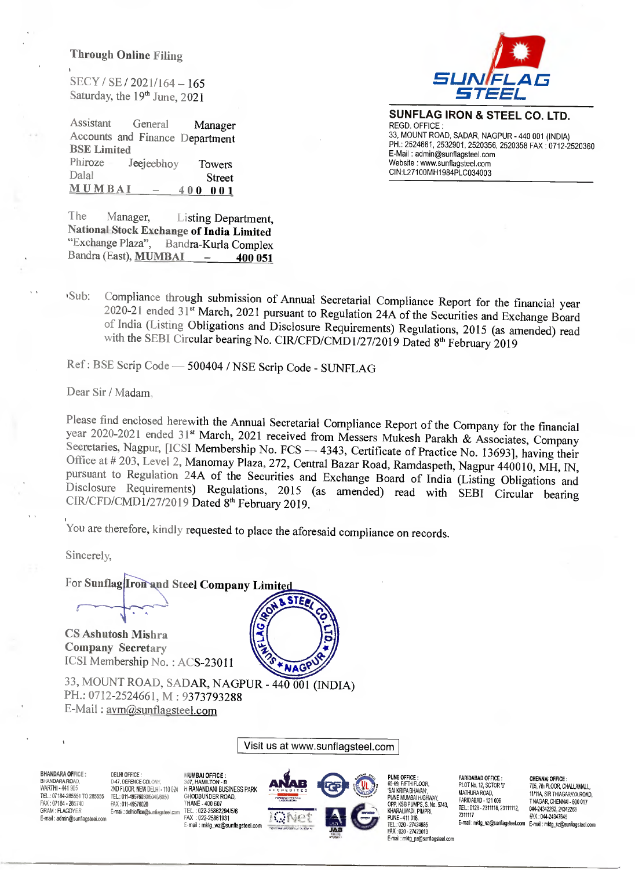#### **Through Online Filing**

SECY / SE / 2021/164 – 165 Saturday, the 19<sup>th</sup> June, 2021



**SUNFLAG IRON & STEEL CO. LTD.**  REGD. OFFICE : 33, MOUNT ROAD, SADAR, NAGPUR - 440 001 (INDIA) PH.: 2524661, 2532901, 2520356, 2520358 FAX : 0712-2520360 E-Mail : admin@sunflagsteel.com Website : www.sunflagsteel.com CIN:L27100MH1984PLC034003

Assistant General Manager Accounts and Finance Department **BSE Limited**  Phiroze Jeejeebhoy Towers<br>Dalal Street Dalai Street<br>MUMBAL – 400.001 **MUMBAI – 400 001** 

The Manager, Listing Department, **National Stock Exchange of India Limited**  Bandra-Kurla Complex Bandra (East), **MUMBAI – 400 051** 

ISub: Compliance through submission of Annual Secretarial Compliance Report for the financial year 2020-21 ended 31" March, 2021 pursuant to Regulation 24A of the Securities and Exchange Board of India (Listing Obligations and Disclosure Requirements) Regulations, 2015 (as amended) read with the SEBI Circular bearing No. CIR/CFD/CMD1/27/2019 Dated 8<sup>th</sup> February 2019

Ref : BSE Scrip Code — 500404 / NSE Scrip Code - SUNFLAG

Dear Sir / Madam,

Please find enclosed herewith the Annual Secretarial Compliance Report of the Company for the financial year 2020-2021 ended 31" March, 2021 received from Messers Mukesh Parakh & Associates, Company Secretaries, Nagpur, [ICSI Membership No. FCS — 4343, Certificate of Practice No. 13693], having their Office at # 203, Level 2, Manomay Plaza, 272, Central Bazar Road, Ramdaspeth, Nagpur 440010, MH, IN, pursuant to Regulation 24A of the Securities and Exchange Board of India (Listing Obligations and Disclosure Requirements) Regulations, 2015 (as amended) read with SEBI Circular bearing CIR/CFD/CMD1/27/2019 Dated 8<sup>th</sup> February 2019.

You are therefore, kindly requested to place the aforesaid compliance on records.

**STF** 

**\*NAGP** 

Sincerely,

For Sunflag Iron and Steel Company Limited

**CS Ashutosh Mishra Company Secretary**  ICSI Membership No. : ACS-23011

33, MOUNT ROAD, SADAR, NAGPUR - 440 001 (INDIA) PH.: 0712-2524661, M : 9373793288 E-Mail : avm@sunflagsteel.com

Visit us at www.sunflagsteel.com



FARIDABAD OFFICE : PLOT No. 12, SCTOR '6' MATHURA ROAD, FARIDABAD - 121 006 TEL: 0129 - 2311116, 23111112, 2311117

e-m-x : 044-24347649<br>E-mail : mktg\_nz@sunflagsteel.com E-mail : mktg\_sz@sunflagsteel.com CHENNAI OFFICE : 705, 7th FLOOR, CHALLAMALL, 11/11A, SIR THIAGARAYA ROAD, T NAGAR, CHENNAI - 600 017 044-24342262, 24342263

**BHANDARA OFFICE: BHANDARA ROAD** WARTH1- 441 905 TEL.: 07184-285551 TO 285555 FAX : 07184 - 285740 GRAM : FLAGDYER E-mail : admin@sonllagsteel.com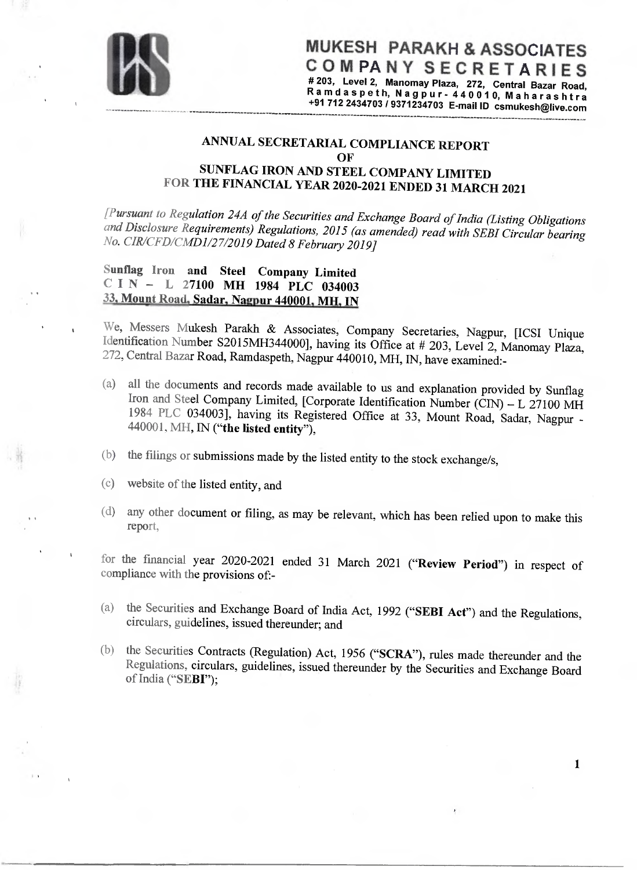

**1** 

## **ANNUAL SECRETARIAL COMPLIANCE REPORT OF SUNFLAG IRON AND STEEL COMPANY LIMITED FOR THE FINANCIAL YEAR 2020-2021 ENDED 31 MARCH 2021**

*[Pursuant to Regulation 24A of the Securities and Exchange Board of India (Listing Obligations and Disclosure Requirements) Regulations, 2015 (as amended) read with SEBI Circular bearing No. CIR/CFD/CMD1/27/2019 Dated 8 February 2019]* 

### **Sunflag Iron and Steel Company Limited CIN — L 27100 MH 1984 PLC 034003 33 Mount Road, Sadar, Nagpur 440001, MH, IN**

**We,** Messers Mukesh Parakh & Associates, Company Secretaries, Nagpur, [ICSI Unique Identification Number S2015MH344000], having its Office at # 203, Level 2, Manomay Plaza, 272, Central Bazar Road, Ramdaspeth, Nagpur 440010, MH, IN, have examined:-

- (a) all the documents and records made available to us and explanation provided by Sunflag Iron and Steel Company Limited, [Corporate Identification Number (CIN) — L 27100 MH 1984 PLC 034003], having its Registered Office at 33, Mount Road, Sadar, Nagpur - 440001, MH, **IN ("the listed entity"),**
- (b) the filings or submissions made by the listed entity to the stock exchange/s,
- (c) website of the listed entity, and
- (d) any other document or filing, as may be relevant, which has been relied upon to make this report,

for the fmancial year 2020-2021 ended 31 March 2021 **("Review Period")** in respect of compliance with the provisions of:-

- (a) the Securities and Exchange Board of India Act, 1992 **("SEBI Act")** and the Regulations, circulars, guidelines, issued thereunder; and
- (b) the Securities Contracts (Regulation) Act, 1956 **("SCRA"),** rules made thereunder and the Regulations, circulars, guidelines, issued thereunder by the Securities and Exchange Board of India **("SEBI");**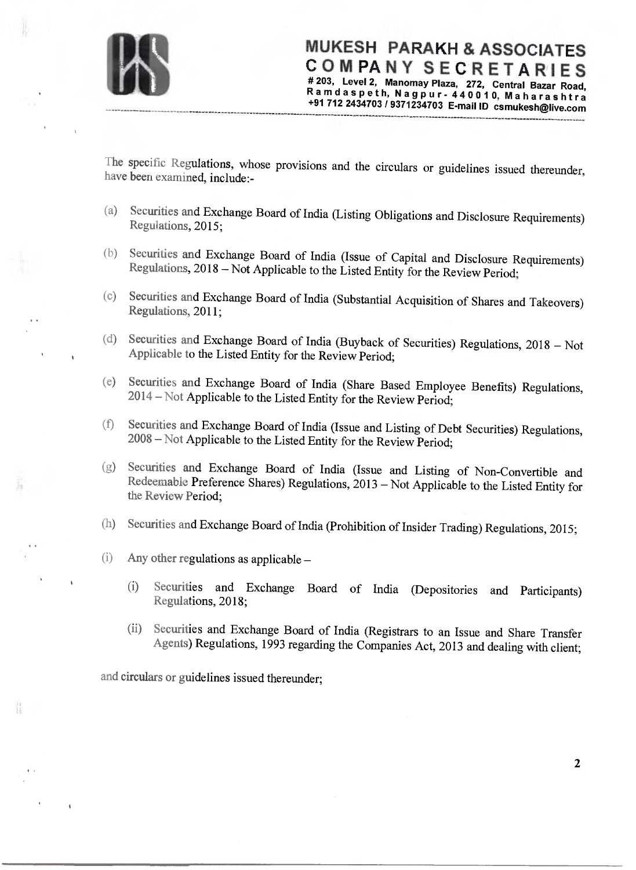

MUKESH PARAKH & ASSOCIATES COMPANY SECRETARIES **# 203, Level 2, Manomay Plaza, 272, Central Bazar Road, Ramdaspeth, Nagpur- 440010, Maharashtra +91 712 2434703 / 9371234703 E-mail ID csmukesh@live.com** 

The specific Regulations, whose provisions and the circulars or guidelines issued thereunder, have been examined, include:-

- (a) Securities and Exchange Board of India (Listing Obligations and Disclosure Requirements) Regulations, 2015;
- (b) Securities and Exchange Board of India (Issue of Capital and Disclosure Requirements) Regulations, 2018 — Not Applicable to the Listed Entity for the Review Period;
- (c) Securities and Exchange Board of India (Substantial Acquisition of Shares and Takeovers) Regulations, 2011;
- (d) Securities and Exchange Board of India (Buyback of Securities) Regulations, 2018 Not Applicable to the Listed Entity for the Review Period;
- (e) Securities and Exchange Board of India (Share Based Employee Benefits) Regulations, 2014 — Not Applicable to the Listed Entity for the Review Period;
- Securities and Exchange Board of India (Issue and Listing of Debt Securities) Regulations, 2008 — Not Applicable to the Listed Entity for the Review Period; (f)
- Securities and Exchange Board of India (Issue and Listing of Non-Convertible and Redeemable Preference Shares) Regulations, 2013 — Not Applicable to the Listed Entity for the Review Period; (g)
- (h) Securities and Exchange Board of India (Prohibition of Insider Trading) Regulations, 2015;
- (i) Any other regulations as applicable
	- (i) Securities and Exchange Board of India (Depositories and Participants) Regulations, 2018;
	- (ii) Securities and Exchange Board of India (Registrars to an Issue and Share Transfer Agents) Regulations, 1993 regarding the Companies Act, 2013 and dealing with client;

2

and circulars or guidelines issued thereunder;

挂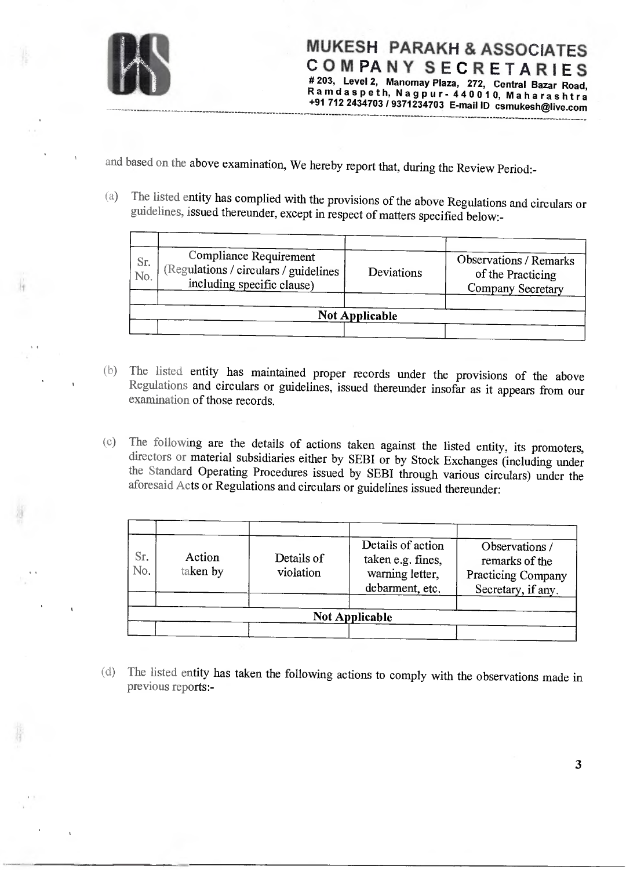

**MUKESH PARAKH & ASSOCIATES COMPANY SECRETARIES # 203, Level 2, Manomay Plaza, 272, Central Bazar Road, Ramdaspeth, Nagpur- 440010, Maharashtra +91 712 2434703 / 9371234703 E-mail ID csmukesh@live.com** 

**\_\_\_\_\_\_\_\_ \_\_\_\_\_\_\_\_\_\_ \_\_\_\_\_\_\_\_\_\_** 

and based on the above examination, We hereby report that, during the Review Period:-

(a) The listed entity has complied with the provisions of the above Regulations and circulars or guidelines, issued thereunder, except in respect of matters specified below:-

| Sr.<br>No. | <b>Compliance Requirement</b><br>(Regulations / circulars / guidelines<br>including specific clause) | Deviations            | <b>Observations / Remarks</b><br>of the Practicing<br>Company Secretary |
|------------|------------------------------------------------------------------------------------------------------|-----------------------|-------------------------------------------------------------------------|
|            |                                                                                                      | <b>Not Applicable</b> |                                                                         |

- (b) The listed entity has maintained proper records under the provisions of the above Regulations and circulars or guidelines, issued thereunder insofar as it appears from our examination of those records.
- (c) The following are the details of actions taken against the listed entity, its promoters, directors or material subsidiaries either by SEBI or by Stock Exchanges (including under the Standard Operating Procedures issued by SEBI through various circulars) under the aforesaid Acts or Regulations and circulars or guidelines issued thereunder:

| Sr.<br>No. | Action<br>taken by | Details of<br>violation | Details of action<br>taken e.g. fines.<br>warning letter,<br>debarment, etc. | Observations /<br>remarks of the<br>Practicing Company<br>Secretary, if any. |
|------------|--------------------|-------------------------|------------------------------------------------------------------------------|------------------------------------------------------------------------------|
|            |                    |                         | <b>Not Applicable</b>                                                        |                                                                              |

(d) The listed entity has taken the following actions to comply with the observations made in previous reports:-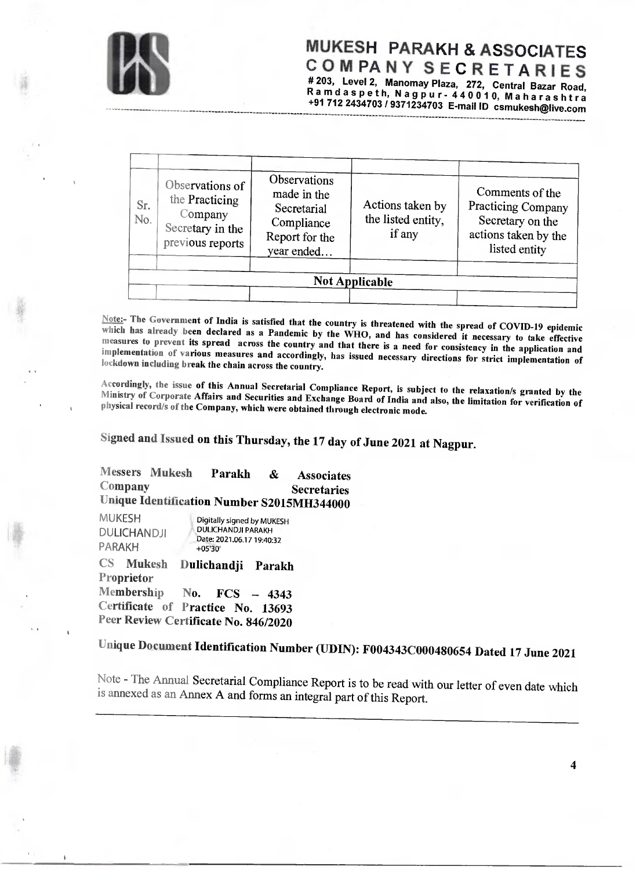

# MUKESH PARAKH & ASSOCIATES COMPANY SECRETARIES **# 203, Level 2, Manomay Plaza, 272, Central Bazar Road,**

**Ramdaspeth, Nagpur- 440010, Maharashtra \_\_\_\_\_\_\_\_\_\_\_\_\_\_\_\_\_\_\_\_\_\_\_\_\_\_\_\_\_ +91 712 2434703 / 9371234703 E-mail ID csmukesh©live.com \_\_\_ \_\_\_\_\_** 

| Sr.<br>No. | Observations of<br>the Practicing<br>Company<br>Secretary in the<br>previous reports | Observations<br>made in the<br>Secretarial<br>Compliance<br>Report for the<br>year ended | Actions taken by<br>the listed entity,<br>if any | Comments of the<br>Practicing Company<br>Secretary on the<br>actions taken by the<br>listed entity |
|------------|--------------------------------------------------------------------------------------|------------------------------------------------------------------------------------------|--------------------------------------------------|----------------------------------------------------------------------------------------------------|
|            |                                                                                      |                                                                                          | <b>Not Applicable</b>                            |                                                                                                    |

Note:- The Government of India is satisfied that the country is threatened with the spread of COVID-19 epidemic which has already been declared as a Pandemic by the WHO, and has considered it necessary to take effective measures to prevent its spread across the country and that there is a need for consistency in the application and implementation of various measures and accordingly, has issued necessary directions for strict implementation of lockdown including break the chain across the country.

Accordingly, the issue of this Annual Secretarial Compliance Report, is subject to the relaxation's granted by the Ministry of Corporate Affairs and Securities and Exchange Board of India and also, the limitation for verification of physical record/s of the Company, which were obtained through electronic mode.

**Signed and Issued on this Thursday, the 17 day of June 2021 at Nagpur.** 

**Messers Mukesh Parakh & Associates Company Secretaries Unique Identification Number S2015MH344000** 

MUKESH **DULICHANDJI** PARAKH Digitally signed by MUKESH DULICHANDJI PARAKH Date: 2021.06.17 19:40:32 +0530'

**CS Mukesh Dulichandji Parakh Proprietor Membership No. FCS — 4343 Certificate of Practice No. 13693 Peer Review Certificate No. 846/2020** 

**Unique Document Identification Number (UDIN): F004343C000480654 Dated 17 June 2021** 

Note - The Annual Secretarial Compliance Report is to be read with our letter of even date which is annexed as an Annex A and forms an integral part of this Report.

**4**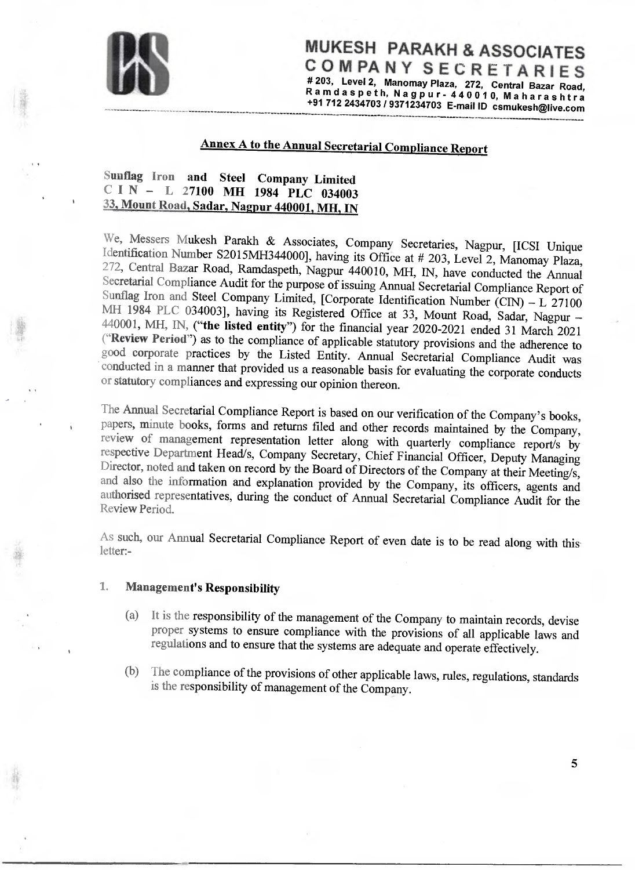

MUKESH PARAKH & ASSOCIATES COMPANY SECRETARIES **# 203, Level 2, Manomay Plaza, 272, Central Bazar Road, Ramdaspeth, Nagpur- 440010, Maharashtra +91 712 2434703 / 9371234703 E-mail ID csmukesh@live.com** 

**---- -** 

**5** 

**----- --------- ----- - ------ ------- ------ -------- --------------- -------------** 

# **Annex A to the Annual Secretarial Compliance Report**

## **Sunflag Iron and Steel Company Limited CIN — L 27100 MH 1984 PLC 034003 33, Mount Road, Sadar, Nagpur 440001, MA, IN**

**----- -------------------** 

We, Messers Mukesh Parakh & Associates, Company Secretaries, Nagpur, [ICSI Unique Identification Number S2015MH344000], having its Office at # 203, Level 2, Manomay Plaza, 272, Central Bazar Road, Ramdaspeth, Nagpur 440010, MH, IN, have conducted the Annual Secretarial Compliance Audit for the purpose of issuing Annual Secretarial Compliance Report of Sunflag Iron and Steel Company Limited, [Corporate Identification Number (CIN)  $- L 27100$ MH 1984 PLC 034003], having its Registered Office at 33, Mount Road, Sadar, Nagpur — 440001, MH, **IN, ("the listed entity")** for the financial year 2020-2021 ended 31 March 2021 **("Review Period")** as to the compliance of applicable statutory provisions and the adherence to good corporate practices by the Listed Entity. Annual Secretarial Compliance Audit was conducted in a manner that provided us a reasonable basis for evaluating the corporate conducts or statutory compliances and expressing our opinion thereon.

The Annual Secretarial Compliance Report is based on our verification of the Company's books, papers, minute books, forms and returns filed and other records maintained by the Company, review of management representation letter along with quarterly compliance report/s by respective Department Head/s, Company Secretary, Chief Financial Officer, Deputy Managing Director, noted and taken on record by the Board of Directors of the Company at their Meeting/s, and also the information and explanation provided by the Company, its officers, agents and authorised representatives, during the conduct of Annual Secretarial Compliance Audit for the Review Period.

As such, our Annual Secretarial Compliance Report of even date is to be read along with this letter:-

### **1. Management's Responsibility**

- (a) It is the responsibility of the management of the Company to maintain records, devise proper systems to ensure compliance with the provisions of all applicable laws and regulations and to ensure that the systems are adequate and operate effectively.
- (b) The compliance of the provisions of other applicable laws, rules, regulations, standards is the responsibility of management of the Company.